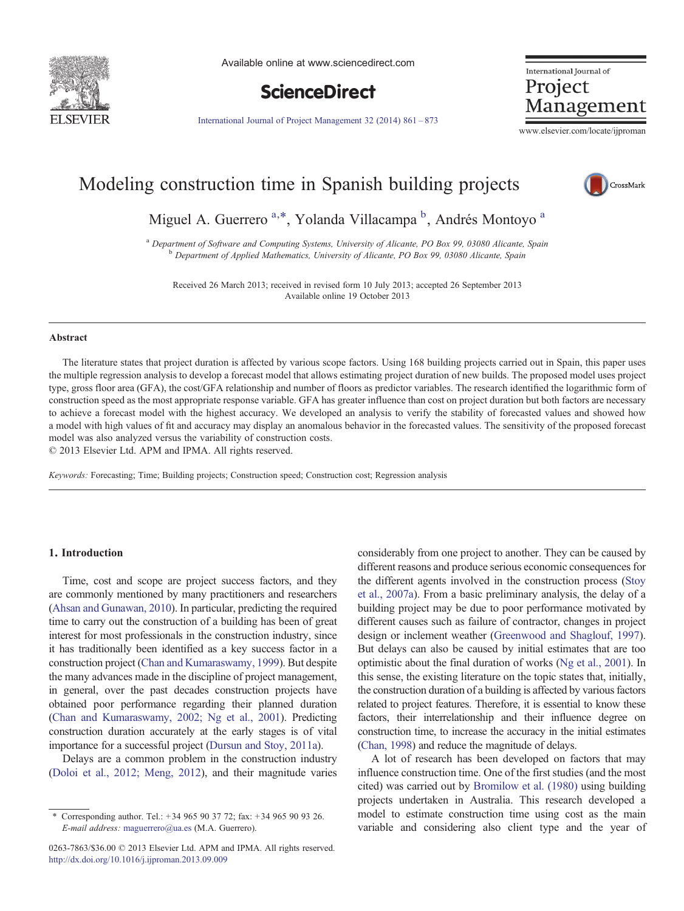<span id="page-0-0"></span>

Available online at www.sciencedirect.com



International Journal of Project Management

[International Journal of Project Management 32 \(2014\) 861](http://dx.doi.org/10.1016/j.ijproman.2013.09.009)–873

www.elsevier.com/locate/ijproman

# Modeling construction time in Spanish building projects



Miguel A. Guerrero<sup>a,\*</sup>, Yolanda Villacampa <sup>b</sup>, Andrés Montoyo<sup>a</sup>

<sup>a</sup> Department of Software and Computing Systems, University of Alicante, PO Box 99, 03080 Alicante, Spain b Department of Applied Mathematics, University of Alicante, PO Box 99, 03080 Alicante, Spain

Received 26 March 2013; received in revised form 10 July 2013; accepted 26 September 2013 Available online 19 October 2013

#### Abstract

The literature states that project duration is affected by various scope factors. Using 168 building projects carried out in Spain, this paper uses the multiple regression analysis to develop a forecast model that allows estimating project duration of new builds. The proposed model uses project type, gross floor area (GFA), the cost/GFA relationship and number of floors as predictor variables. The research identified the logarithmic form of construction speed as the most appropriate response variable. GFA has greater influence than cost on project duration but both factors are necessary to achieve a forecast model with the highest accuracy. We developed an analysis to verify the stability of forecasted values and showed how a model with high values of fit and accuracy may display an anomalous behavior in the forecasted values. The sensitivity of the proposed forecast model was also analyzed versus the variability of construction costs.

© 2013 Elsevier Ltd. APM and IPMA. All rights reserved.

Keywords: Forecasting; Time; Building projects; Construction speed; Construction cost; Regression analysis

#### 1. Introduction

Time, cost and scope are project success factors, and they are commonly mentioned by many practitioners and researchers ([Ahsan and Gunawan, 2010](#page--1-0)). In particular, predicting the required time to carry out the construction of a building has been of great interest for most professionals in the construction industry, since it has traditionally been identified as a key success factor in a construction project [\(Chan and Kumaraswamy, 1999](#page--1-0)). But despite the many advances made in the discipline of project management, in general, over the past decades construction projects have obtained poor performance regarding their planned duration ([Chan and Kumaraswamy, 2002; Ng et al., 2001](#page--1-0)). Predicting construction duration accurately at the early stages is of vital importance for a successful project [\(Dursun and Stoy, 2011a](#page--1-0)).

Delays are a common problem in the construction industry ([Doloi et al., 2012; Meng, 2012](#page--1-0)), and their magnitude varies

0263-7863/\$36.00 © 2013 Elsevier Ltd. APM and IPMA. All rights reserved. <http://dx.doi.org/10.1016/j.ijproman.2013.09.009>

considerably from one project to another. They can be caused by different reasons and produce serious economic consequences for the different agents involved in the construction process ([Stoy](#page--1-0) [et al., 2007a](#page--1-0)). From a basic preliminary analysis, the delay of a building project may be due to poor performance motivated by different causes such as failure of contractor, changes in project design or inclement weather [\(Greenwood and Shaglouf, 1997\)](#page--1-0). But delays can also be caused by initial estimates that are too optimistic about the final duration of works ([Ng et al., 2001](#page--1-0)). In this sense, the existing literature on the topic states that, initially, the construction duration of a building is affected by various factors related to project features. Therefore, it is essential to know these factors, their interrelationship and their influence degree on construction time, to increase the accuracy in the initial estimates ([Chan, 1998\)](#page--1-0) and reduce the magnitude of delays.

A lot of research has been developed on factors that may influence construction time. One of the first studies (and the most cited) was carried out by [Bromilow et al. \(1980\)](#page--1-0) using building projects undertaken in Australia. This research developed a model to estimate construction time using cost as the main variable and considering also client type and the year of

<sup>⁎</sup> Corresponding author. Tel.: + 34 965 90 37 72; fax: + 34 965 90 93 26. E-mail address: [maguerrero@ua.es](mailto:maguerrero@ua.es) (M.A. Guerrero).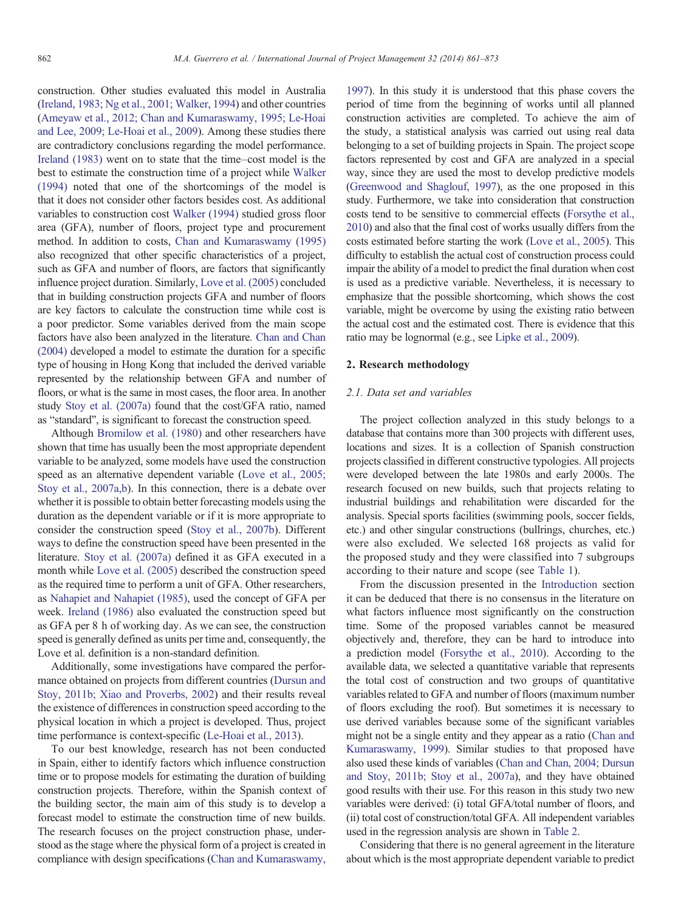construction. Other studies evaluated this model in Australia ([Ireland, 1983; Ng et al., 2001; Walker, 1994](#page--1-0)) and other countries ([Ameyaw et al., 2012; Chan and Kumaraswamy, 1995; Le-Hoai](#page--1-0) [and Lee, 2009; Le-Hoai et al., 2009](#page--1-0)). Among these studies there are contradictory conclusions regarding the model performance. [Ireland \(1983\)](#page--1-0) went on to state that the time–cost model is the best to estimate the construction time of a project while [Walker](#page--1-0) [\(1994\)](#page--1-0) noted that one of the shortcomings of the model is that it does not consider other factors besides cost. As additional variables to construction cost [Walker \(1994\)](#page--1-0) studied gross floor area (GFA), number of floors, project type and procurement method. In addition to costs, [Chan and Kumaraswamy \(1995\)](#page--1-0) also recognized that other specific characteristics of a project, such as GFA and number of floors, are factors that significantly influence project duration. Similarly, [Love et al. \(2005\)](#page--1-0) concluded that in building construction projects GFA and number of floors are key factors to calculate the construction time while cost is a poor predictor. Some variables derived from the main scope factors have also been analyzed in the literature. [Chan and Chan](#page--1-0) [\(2004\)](#page--1-0) developed a model to estimate the duration for a specific type of housing in Hong Kong that included the derived variable represented by the relationship between GFA and number of floors, or what is the same in most cases, the floor area. In another study [Stoy et al. \(2007a\)](#page--1-0) found that the cost/GFA ratio, named as "standard", is significant to forecast the construction speed.

Although [Bromilow et al. \(1980\)](#page--1-0) and other researchers have shown that time has usually been the most appropriate dependent variable to be analyzed, some models have used the construction speed as an alternative dependent variable ([Love et al., 2005;](#page--1-0) [Stoy et al., 2007a,b\)](#page--1-0). In this connection, there is a debate over whether it is possible to obtain better forecasting models using the duration as the dependent variable or if it is more appropriate to consider the construction speed [\(Stoy et al., 2007b](#page--1-0)). Different ways to define the construction speed have been presented in the literature. [Stoy et al. \(2007a\)](#page--1-0) defined it as GFA executed in a month while [Love et al. \(2005\)](#page--1-0) described the construction speed as the required time to perform a unit of GFA. Other researchers, as [Nahapiet and Nahapiet \(1985\),](#page--1-0) used the concept of GFA per week. [Ireland \(1986\)](#page--1-0) also evaluated the construction speed but as GFA per 8 h of working day. As we can see, the construction speed is generally defined as units per time and, consequently, the Love et al. definition is a non-standard definition.

Additionally, some investigations have compared the performance obtained on projects from different countries ([Dursun and](#page--1-0) [Stoy, 2011b; Xiao and Proverbs, 2002\)](#page--1-0) and their results reveal the existence of differences in construction speed according to the physical location in which a project is developed. Thus, project time performance is context-specific [\(Le-Hoai et al., 2013\)](#page--1-0).

To our best knowledge, research has not been conducted in Spain, either to identify factors which influence construction time or to propose models for estimating the duration of building construction projects. Therefore, within the Spanish context of the building sector, the main aim of this study is to develop a forecast model to estimate the construction time of new builds. The research focuses on the project construction phase, understood as the stage where the physical form of a project is created in compliance with design specifications ([Chan and Kumaraswamy,](#page--1-0)

[1997](#page--1-0)). In this study it is understood that this phase covers the period of time from the beginning of works until all planned construction activities are completed. To achieve the aim of the study, a statistical analysis was carried out using real data belonging to a set of building projects in Spain. The project scope factors represented by cost and GFA are analyzed in a special way, since they are used the most to develop predictive models ([Greenwood and Shaglouf, 1997](#page--1-0)), as the one proposed in this study. Furthermore, we take into consideration that construction costs tend to be sensitive to commercial effects [\(Forsythe et al.,](#page--1-0) [2010](#page--1-0)) and also that the final cost of works usually differs from the costs estimated before starting the work [\(Love et al., 2005](#page--1-0)). This difficulty to establish the actual cost of construction process could impair the ability of a model to predict the final duration when cost is used as a predictive variable. Nevertheless, it is necessary to emphasize that the possible shortcoming, which shows the cost variable, might be overcome by using the existing ratio between the actual cost and the estimated cost. There is evidence that this ratio may be lognormal (e.g., see [Lipke et al., 2009](#page--1-0)).

## 2. Research methodology

### 2.1. Data set and variables

The project collection analyzed in this study belongs to a database that contains more than 300 projects with different uses, locations and sizes. It is a collection of Spanish construction projects classified in different constructive typologies. All projects were developed between the late 1980s and early 2000s. The research focused on new builds, such that projects relating to industrial buildings and rehabilitation were discarded for the analysis. Special sports facilities (swimming pools, soccer fields, etc.) and other singular constructions (bullrings, churches, etc.) were also excluded. We selected 168 projects as valid for the proposed study and they were classified into 7 subgroups according to their nature and scope (see [Table 1\)](#page--1-0).

From the discussion presented in the [Introduction](#page-0-0) section it can be deduced that there is no consensus in the literature on what factors influence most significantly on the construction time. Some of the proposed variables cannot be measured objectively and, therefore, they can be hard to introduce into a prediction model ([Forsythe et al., 2010\)](#page--1-0). According to the available data, we selected a quantitative variable that represents the total cost of construction and two groups of quantitative variables related to GFA and number of floors (maximum number of floors excluding the roof). But sometimes it is necessary to use derived variables because some of the significant variables might not be a single entity and they appear as a ratio ([Chan and](#page--1-0) [Kumaraswamy, 1999\)](#page--1-0). Similar studies to that proposed have also used these kinds of variables [\(Chan and Chan, 2004; Dursun](#page--1-0) [and Stoy, 2011b; Stoy et al., 2007a](#page--1-0)), and they have obtained good results with their use. For this reason in this study two new variables were derived: (i) total GFA/total number of floors, and (ii) total cost of construction/total GFA. All independent variables used in the regression analysis are shown in [Table 2.](#page--1-0)

Considering that there is no general agreement in the literature about which is the most appropriate dependent variable to predict